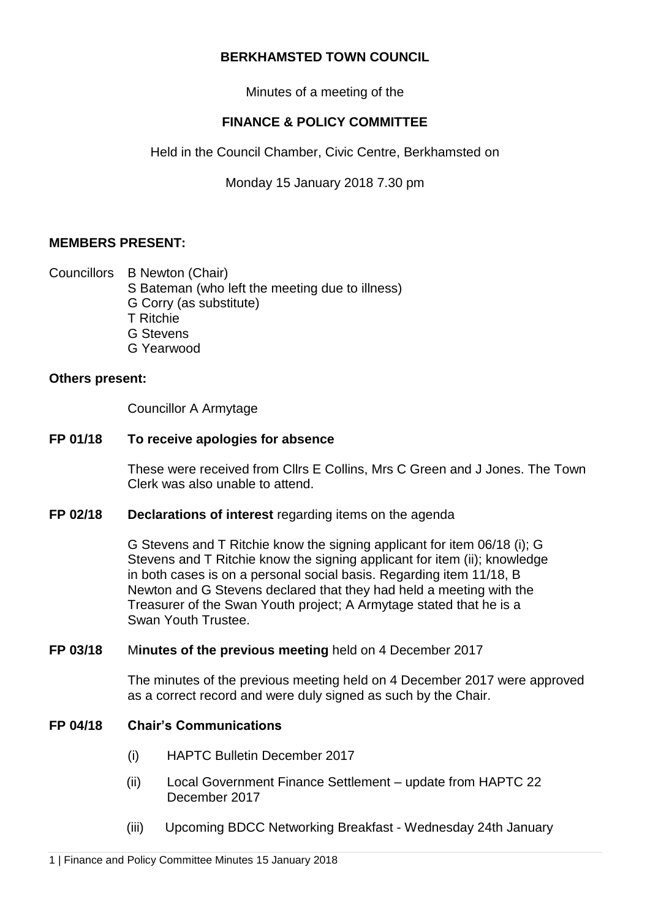## **BERKHAMSTED TOWN COUNCIL**

Minutes of a meeting of the

# **FINANCE & POLICY COMMITTEE**

Held in the Council Chamber, Civic Centre, Berkhamsted on

Monday 15 January 2018 7.30 pm

# **MEMBERS PRESENT:**

Councillors B Newton (Chair)

- S Bateman (who left the meeting due to illness) G Corry (as substitute)
- 
- T Ritchie
- G Stevens
- G Yearwood

### **Others present:**

Councillor A Armytage

## **FP 01/18 To receive apologies for absence**

These were received from Cllrs E Collins, Mrs C Green and J Jones. The Town Clerk was also unable to attend.

### **FP 02/18 Declarations of interest** regarding items on the agenda

G Stevens and T Ritchie know the signing applicant for item 06/18 (i); G Stevens and T Ritchie know the signing applicant for item (ii); knowledge in both cases is on a personal social basis. Regarding item 11/18, B Newton and G Stevens declared that they had held a meeting with the Treasurer of the Swan Youth project; A Armytage stated that he is a Swan Youth Trustee.

### **FP 03/18** M**inutes of the previous meeting** held on 4 December 2017

The minutes of the previous meeting held on 4 December 2017 were approved as a correct record and were duly signed as such by the Chair.

# **FP 04/18 Chair's Communications**

- (i) HAPTC Bulletin December 2017
- (ii) Local Government Finance Settlement update from HAPTC 22 December 2017
- (iii) Upcoming BDCC Networking Breakfast Wednesday 24th January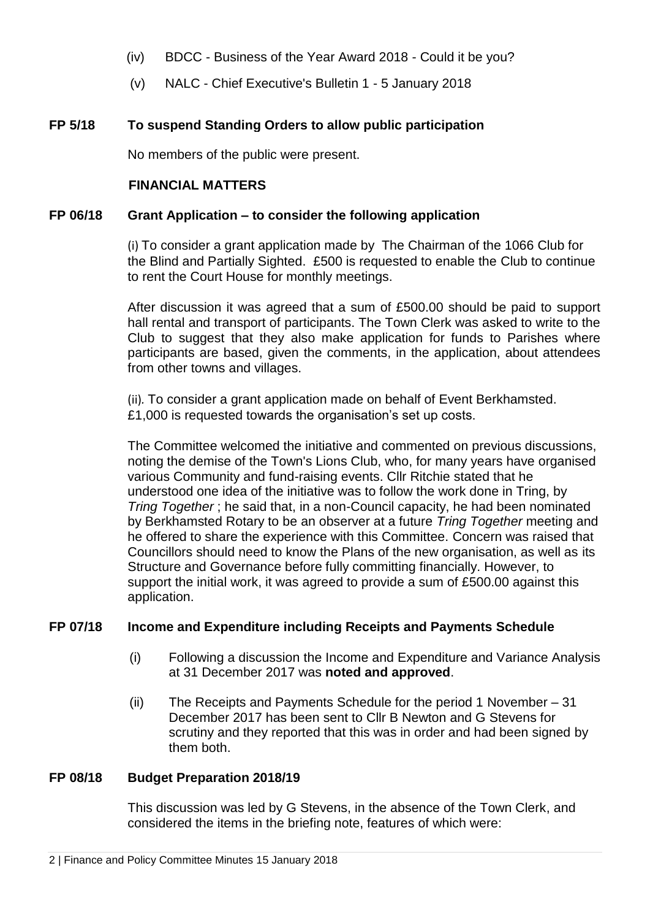- (iv) BDCC Business of the Year Award 2018 Could it be you?
- (v) NALC Chief Executive's Bulletin 1 5 January 2018

# **FP 5/18 To suspend Standing Orders to allow public participation**

No members of the public were present.

## **FINANCIAL MATTERS**

### **FP 06/18 Grant Application – to consider the following application**

(i) To consider a grant application made by The Chairman of the 1066 Club for the Blind and Partially Sighted. £500 is requested to enable the Club to continue to rent the Court House for monthly meetings.

After discussion it was agreed that a sum of £500.00 should be paid to support hall rental and transport of participants. The Town Clerk was asked to write to the Club to suggest that they also make application for funds to Parishes where participants are based, given the comments, in the application, about attendees from other towns and villages.

(ii)*.* To consider a grant application made on behalf of Event Berkhamsted. £1,000 is requested towards the organisation's set up costs.

The Committee welcomed the initiative and commented on previous discussions, noting the demise of the Town's Lions Club, who, for many years have organised various Community and fund-raising events. Cllr Ritchie stated that he understood one idea of the initiative was to follow the work done in Tring, by *Tring Together* ; he said that, in a non-Council capacity, he had been nominated by Berkhamsted Rotary to be an observer at a future *Tring Together* meeting and he offered to share the experience with this Committee. Concern was raised that Councillors should need to know the Plans of the new organisation, as well as its Structure and Governance before fully committing financially. However, to support the initial work, it was agreed to provide a sum of £500.00 against this application.

### **FP 07/18 Income and Expenditure including Receipts and Payments Schedule**

- (i) Following a discussion the Income and Expenditure and Variance Analysis at 31 December 2017 was **noted and approved**.
- (ii) The Receipts and Payments Schedule for the period 1 November 31 December 2017 has been sent to Cllr B Newton and G Stevens for scrutiny and they reported that this was in order and had been signed by them both.

### **FP 08/18 Budget Preparation 2018/19**

This discussion was led by G Stevens, in the absence of the Town Clerk, and considered the items in the briefing note, features of which were: